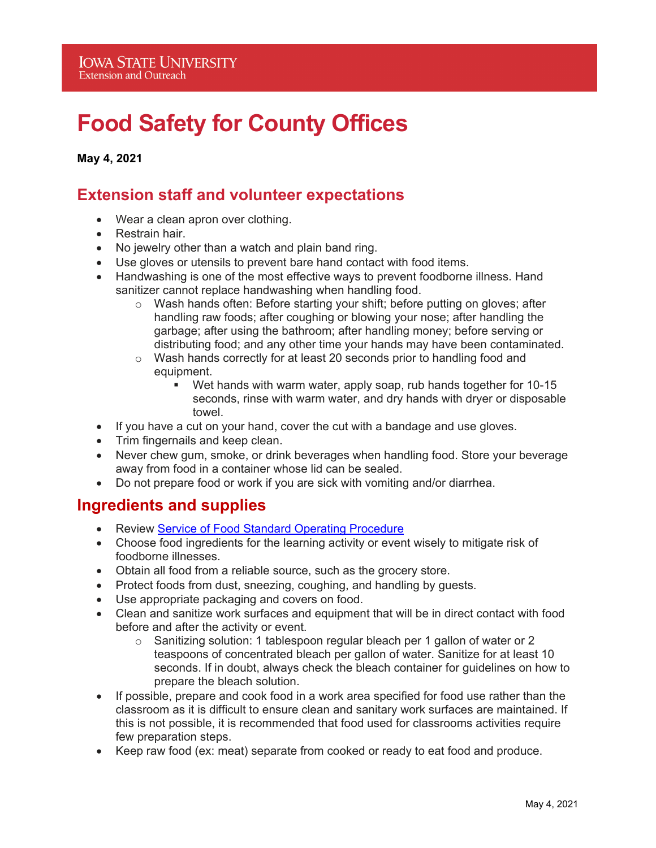# **Food Safety for County Offices**

**May 4, 2021** 

## **Extension staff and volunteer expectations**

- Wear a clean apron over clothing.
- Restrain hair.
- No jewelry other than a watch and plain band ring.
- Use gloves or utensils to prevent bare hand contact with food items.
- Handwashing is one of the most effective ways to prevent foodborne illness. Hand sanitizer cannot replace handwashing when handling food.
	- $\circ$  Wash hands often: Before starting your shift; before putting on gloves; after handling raw foods; after coughing or blowing your nose; after handling the garbage; after using the bathroom; after handling money; before serving or distributing food; and any other time your hands may have been contaminated.
	- $\circ$  Wash hands correctly for at least 20 seconds prior to handling food and equipment.
		- Wet hands with warm water, apply soap, rub hands together for 10-15 seconds, rinse with warm water, and dry hands with dryer or disposable towel.
- If you have a cut on your hand, cover the cut with a bandage and use gloves.
- Trim fingernails and keep clean.
- Never chew gum, smoke, or drink beverages when handling food. Store your beverage away from food in a container whose lid can be sealed.
- Do not prepare food or work if you are sick with vomiting and/or diarrhea.

### **Ingredients and supplies**

- Review Service of Food Standard Operating Procedure
- Choose food ingredients for the learning activity or event wisely to mitigate risk of foodborne illnesses.
- Obtain all food from a reliable source, such as the grocery store.
- Protect foods from dust, sneezing, coughing, and handling by guests.
- Use appropriate packaging and covers on food.
- Clean and sanitize work surfaces and equipment that will be in direct contact with food before and after the activity or event.
	- $\circ$  Sanitizing solution: 1 tablespoon regular bleach per 1 gallon of water or 2 teaspoons of concentrated bleach per gallon of water. Sanitize for at least 10 seconds. If in doubt, always check the bleach container for guidelines on how to prepare the bleach solution.
- If possible, prepare and cook food in a work area specified for food use rather than the classroom as it is difficult to ensure clean and sanitary work surfaces are maintained. If this is not possible, it is recommended that food used for classrooms activities require few preparation steps.
- Keep raw food (ex: meat) separate from cooked or ready to eat food and produce.